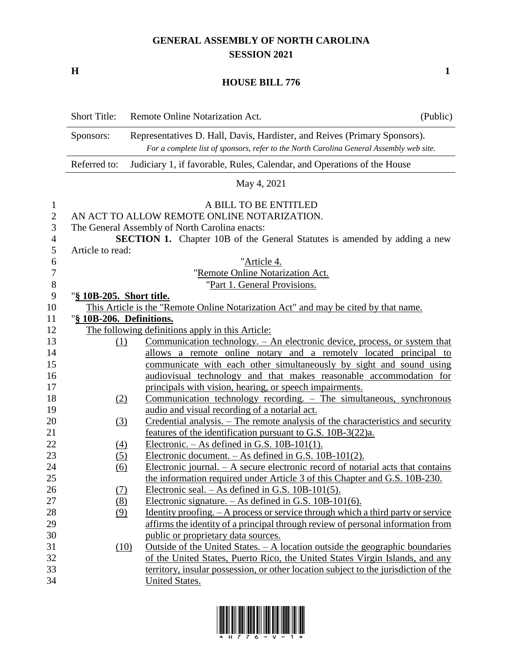## **GENERAL ASSEMBLY OF NORTH CAROLINA SESSION 2021**

**H 1**

## **HOUSE BILL 776**

|                  | <b>Short Title:</b>      | Remote Online Notarization Act.                                                                                                                                      | (Public) |
|------------------|--------------------------|----------------------------------------------------------------------------------------------------------------------------------------------------------------------|----------|
|                  | Sponsors:                | Representatives D. Hall, Davis, Hardister, and Reives (Primary Sponsors).<br>For a complete list of sponsors, refer to the North Carolina General Assembly web site. |          |
|                  | Referred to:             | Judiciary 1, if favorable, Rules, Calendar, and Operations of the House                                                                                              |          |
|                  |                          | May 4, 2021                                                                                                                                                          |          |
| $\mathbf{1}$     |                          | A BILL TO BE ENTITLED                                                                                                                                                |          |
| $\overline{2}$   |                          | AN ACT TO ALLOW REMOTE ONLINE NOTARIZATION.                                                                                                                          |          |
| 3                |                          | The General Assembly of North Carolina enacts:                                                                                                                       |          |
| $\overline{4}$   |                          | <b>SECTION 1.</b> Chapter 10B of the General Statutes is amended by adding a new                                                                                     |          |
| 5                | Article to read:         |                                                                                                                                                                      |          |
| 6                |                          | "Article 4.                                                                                                                                                          |          |
| $\boldsymbol{7}$ |                          | "Remote Online Notarization Act.                                                                                                                                     |          |
| $\,8\,$          |                          | "Part 1. General Provisions.                                                                                                                                         |          |
| 9                | "§ 10B-205. Short title. |                                                                                                                                                                      |          |
| 10               |                          | This Article is the "Remote Online Notarization Act" and may be cited by that name.                                                                                  |          |
| 11               | "§ 10B-206. Definitions. |                                                                                                                                                                      |          |
| 12               |                          | The following definitions apply in this Article:                                                                                                                     |          |
| 13               | (1)                      | Communication technology. – An electronic device, process, or system that                                                                                            |          |
| 14               |                          | allows a remote online notary and a remotely located principal to                                                                                                    |          |
| 15               |                          | communicate with each other simultaneously by sight and sound using                                                                                                  |          |
| 16               |                          | audiovisual technology and that makes reasonable accommodation for                                                                                                   |          |
| 17               |                          | principals with vision, hearing, or speech impairments.                                                                                                              |          |
| 18               | (2)                      | Communication technology recording. - The simultaneous, synchronous                                                                                                  |          |
| 19               |                          | audio and visual recording of a notarial act.                                                                                                                        |          |
| 20               | (3)                      | Credential analysis. - The remote analysis of the characteristics and security                                                                                       |          |
| 21               |                          | features of the identification pursuant to G.S. 10B-3(22)a.                                                                                                          |          |
| 22               | <u>(4)</u>               | Electronic. $-$ As defined in G.S. 10B-101(1).                                                                                                                       |          |
| 23               | (5)                      | Electronic document. - As defined in G.S. 10B-101(2).                                                                                                                |          |
| 24               | (6)                      | Electronic journal. $- A$ secure electronic record of notarial acts that contains                                                                                    |          |
| 25               |                          | the information required under Article 3 of this Chapter and G.S. 10B-230.                                                                                           |          |
| 26               | (7)                      | Electronic seal. $-$ As defined in G.S. 10B-101(5).                                                                                                                  |          |
| 27               | (8)                      | Electronic signature. $-$ As defined in G.S. 10B-101(6).                                                                                                             |          |
| 28               | (9)                      | <u>Identity proofing. - A process or service through which a third party or service</u>                                                                              |          |
| 29               |                          | affirms the identity of a principal through review of personal information from                                                                                      |          |
| 30               |                          | public or proprietary data sources.                                                                                                                                  |          |
| 31               | (10)                     | Outside of the United States. $- A$ location outside the geographic boundaries                                                                                       |          |
| 32               |                          | of the United States, Puerto Rico, the United States Virgin Islands, and any                                                                                         |          |
| 33               |                          | territory, insular possession, or other location subject to the jurisdiction of the                                                                                  |          |
| 34               |                          | United States.                                                                                                                                                       |          |

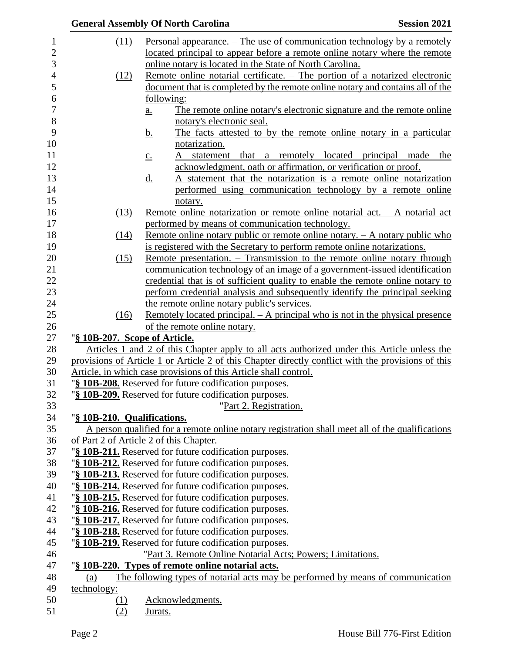|                               | <b>Session 2021</b><br><b>General Assembly Of North Carolina</b>                                                                                         |
|-------------------------------|----------------------------------------------------------------------------------------------------------------------------------------------------------|
| (11)                          | Personal appearance. – The use of communication technology by a remotely                                                                                 |
|                               | located principal to appear before a remote online notary where the remote                                                                               |
|                               | online notary is located in the State of North Carolina.                                                                                                 |
| (12)                          | Remote online notarial certificate. – The portion of a notarized electronic                                                                              |
|                               | document that is completed by the remote online notary and contains all of the                                                                           |
|                               | following:                                                                                                                                               |
|                               | The remote online notary's electronic signature and the remote online<br>$\underline{a}$ .                                                               |
|                               | notary's electronic seal.                                                                                                                                |
|                               | The facts attested to by the remote online notary in a particular<br><u>b.</u>                                                                           |
|                               | notarization.                                                                                                                                            |
|                               | that<br>a remotely located principal made<br>statement<br>the                                                                                            |
|                               | $\underline{c}$ .<br>acknowledgment, oath or affirmation, or verification or proof.                                                                      |
|                               | A statement that the notarization is a remote online notarization                                                                                        |
|                               | <u>d.</u><br>performed using communication technology by a remote online                                                                                 |
|                               |                                                                                                                                                          |
|                               | notary.                                                                                                                                                  |
| (13)                          | Remote online notarization or remote online notarial act. $-$ A notarial act                                                                             |
|                               | performed by means of communication technology.                                                                                                          |
| (14)                          | Remote online notary public or remote online notary. $- A$ notary public who<br>is registered with the Secretary to perform remote online notarizations. |
|                               | Remote presentation. – Transmission to the remote online notary through                                                                                  |
| (15)                          | communication technology of an image of a government-issued identification                                                                               |
|                               | credential that is of sufficient quality to enable the remote online notary to                                                                           |
|                               | perform credential analysis and subsequently identify the principal seeking                                                                              |
|                               | the remote online notary public's services.                                                                                                              |
| (16)                          | <u>Remotely located principal. – A principal who is not in the physical presence</u>                                                                     |
|                               | of the remote online notary.                                                                                                                             |
| "§ 10B-207. Scope of Article. |                                                                                                                                                          |
|                               | Articles 1 and 2 of this Chapter apply to all acts authorized under this Article unless the                                                              |
|                               | provisions of Article 1 or Article 2 of this Chapter directly conflict with the provisions of this                                                       |
|                               | Article, in which case provisions of this Article shall control.                                                                                         |
|                               | "§ 10B-208. Reserved for future codification purposes.                                                                                                   |
|                               | "§ 10B-209. Reserved for future codification purposes.                                                                                                   |
|                               | "Part 2. Registration.                                                                                                                                   |
| "§ 10B-210. Qualifications.   |                                                                                                                                                          |
|                               | A person qualified for a remote online notary registration shall meet all of the qualifications                                                          |
|                               | of Part 2 of Article 2 of this Chapter.                                                                                                                  |
|                               | "§ 10B-211. Reserved for future codification purposes.                                                                                                   |
|                               | "§ 10B-212. Reserved for future codification purposes.                                                                                                   |
|                               | "§ 10B-213. Reserved for future codification purposes.                                                                                                   |
|                               | "§ 10B-214. Reserved for future codification purposes.                                                                                                   |
|                               | "§ 10B-215. Reserved for future codification purposes.                                                                                                   |
|                               | "§ 10B-216. Reserved for future codification purposes.                                                                                                   |
|                               | "§ 10B-217. Reserved for future codification purposes.                                                                                                   |
|                               | "§ 10B-218. Reserved for future codification purposes.                                                                                                   |
|                               | "§ 10B-219. Reserved for future codification purposes.                                                                                                   |
|                               | "Part 3. Remote Online Notarial Acts; Powers; Limitations.                                                                                               |
|                               | "§ 10B-220. Types of remote online notarial acts.                                                                                                        |
| (a)                           | The following types of notarial acts may be performed by means of communication                                                                          |
| technology:                   |                                                                                                                                                          |
| <u>(1)</u>                    | Acknowledgments.                                                                                                                                         |
| (2)                           | Jurats.                                                                                                                                                  |
|                               |                                                                                                                                                          |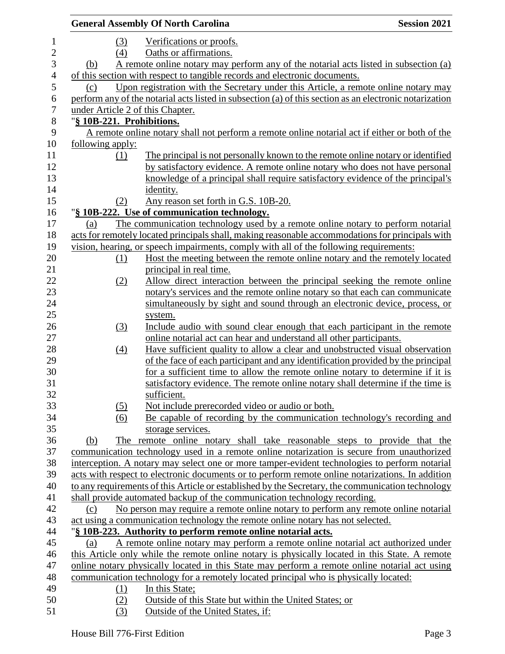|                  |                                  | <b>General Assembly Of North Carolina</b>                                                               | <b>Session 2021</b> |
|------------------|----------------------------------|---------------------------------------------------------------------------------------------------------|---------------------|
| $\mathbf{1}$     | (3)                              | Verifications or proofs.                                                                                |                     |
| $\mathbf{2}$     | (4)                              | Oaths or affirmations.                                                                                  |                     |
| 3                | (b)                              | A remote online notary may perform any of the notarial acts listed in subsection (a)                    |                     |
| $\overline{4}$   |                                  | of this section with respect to tangible records and electronic documents.                              |                     |
| 5                | (c)                              | Upon registration with the Secretary under this Article, a remote online notary may                     |                     |
| 6                |                                  | perform any of the notarial acts listed in subsection (a) of this section as an electronic notarization |                     |
| $\boldsymbol{7}$ | under Article 2 of this Chapter. |                                                                                                         |                     |
| $\,8\,$          | "§ 10B-221. Prohibitions.        |                                                                                                         |                     |
| 9                |                                  | A remote online notary shall not perform a remote online notarial act if either or both of the          |                     |
| 10               | following apply:                 |                                                                                                         |                     |
| 11               | (1)                              | The principal is not personally known to the remote online notary or identified                         |                     |
| 12               |                                  | by satisfactory evidence. A remote online notary who does not have personal                             |                     |
| 13               |                                  | knowledge of a principal shall require satisfactory evidence of the principal's                         |                     |
| 14               |                                  | identity.                                                                                               |                     |
| 15               | (2)                              | Any reason set forth in G.S. 10B-20.                                                                    |                     |
| 16               |                                  | "§ 10B-222. Use of communication technology.                                                            |                     |
| 17               | (a)                              | The communication technology used by a remote online notary to perform notarial                         |                     |
| 18               |                                  | acts for remotely located principals shall, making reasonable accommodations for principals with        |                     |
| 19               |                                  | vision, hearing, or speech impairments, comply with all of the following requirements:                  |                     |
| 20               | (1)                              | Host the meeting between the remote online notary and the remotely located                              |                     |
| 21               |                                  | principal in real time.                                                                                 |                     |
| 22               | (2)                              | Allow direct interaction between the principal seeking the remote online                                |                     |
| 23               |                                  | notary's services and the remote online notary so that each can communicate                             |                     |
| 24               |                                  | simultaneously by sight and sound through an electronic device, process, or                             |                     |
| 25               |                                  | system.                                                                                                 |                     |
| 26               | (3)                              | Include audio with sound clear enough that each participant in the remote                               |                     |
| 27               |                                  | online notarial act can hear and understand all other participants.                                     |                     |
| 28               | $\left(4\right)$                 | Have sufficient quality to allow a clear and unobstructed visual observation                            |                     |
| 29               |                                  | of the face of each participant and any identification provided by the principal                        |                     |
| 30               |                                  | for a sufficient time to allow the remote online notary to determine if it is                           |                     |
| 31               |                                  | satisfactory evidence. The remote online notary shall determine if the time is                          |                     |
| 32               |                                  | sufficient.                                                                                             |                     |
| 33               | (5)                              | Not include prerecorded video or audio or both.                                                         |                     |
| 34               | (6)                              | Be capable of recording by the communication technology's recording and                                 |                     |
| 35               |                                  | storage services.                                                                                       |                     |
| 36               | (b)                              | The remote online notary shall take reasonable steps to provide that the                                |                     |
| 37               |                                  | communication technology used in a remote online notarization is secure from unauthorized               |                     |
| 38               |                                  | interception. A notary may select one or more tamper-evident technologies to perform notarial           |                     |
| 39               |                                  | acts with respect to electronic documents or to perform remote online notarizations. In addition        |                     |
| 40               |                                  | to any requirements of this Article or established by the Secretary, the communication technology       |                     |
| 41               |                                  | shall provide automated backup of the communication technology recording.                               |                     |
| 42               | (c)                              | No person may require a remote online notary to perform any remote online notarial                      |                     |
| 43               |                                  | act using a communication technology the remote online notary has not selected.                         |                     |
| 44               |                                  | "§ 10B-223. Authority to perform remote online notarial acts.                                           |                     |
| 45               | (a)                              | A remote online notary may perform a remote online notarial act authorized under                        |                     |
| 46               |                                  | this Article only while the remote online notary is physically located in this State. A remote          |                     |
| 47               |                                  | online notary physically located in this State may perform a remote online notarial act using           |                     |
| 48               |                                  | communication technology for a remotely located principal who is physically located:                    |                     |
| 49               | <u>(1)</u>                       | In this State;                                                                                          |                     |
| 50               | (2)                              | Outside of this State but within the United States; or                                                  |                     |
| 51               | (3)                              | Outside of the United States, if:                                                                       |                     |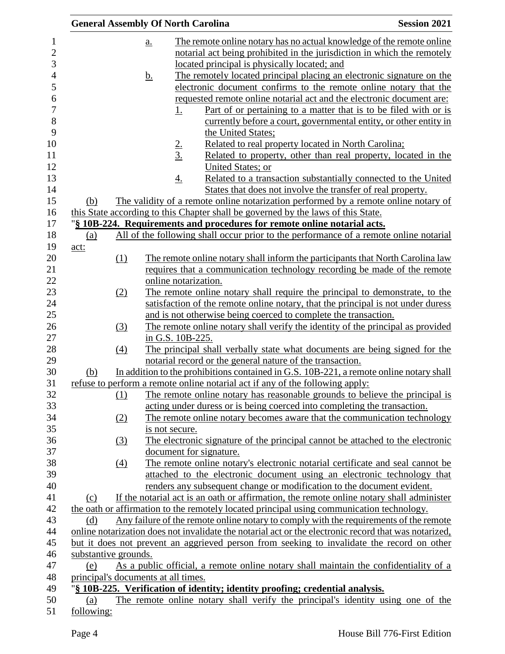|                                     |           | <b>General Assembly Of North Carolina</b>                                         | <b>Session 2021</b>                                                                                   |
|-------------------------------------|-----------|-----------------------------------------------------------------------------------|-------------------------------------------------------------------------------------------------------|
|                                     | a.        |                                                                                   | The remote online notary has no actual knowledge of the remote online                                 |
|                                     |           |                                                                                   | notarial act being prohibited in the jurisdiction in which the remotely                               |
|                                     |           | located principal is physically located; and                                      |                                                                                                       |
|                                     | <u>b.</u> |                                                                                   | The remotely located principal placing an electronic signature on the                                 |
|                                     |           |                                                                                   | electronic document confirms to the remote online notary that the                                     |
|                                     |           |                                                                                   | requested remote online notarial act and the electronic document are:                                 |
|                                     |           | <u>1.</u>                                                                         | <u>Part of or pertaining to a matter that is to be filed with or is</u>                               |
|                                     |           |                                                                                   | currently before a court, governmental entity, or other entity in                                     |
|                                     |           | the United States;                                                                |                                                                                                       |
|                                     |           |                                                                                   | Related to real property located in North Carolina;                                                   |
|                                     |           | $\frac{2}{3}$                                                                     | Related to property, other than real property, located in the                                         |
|                                     |           | United States; or                                                                 |                                                                                                       |
|                                     |           | $\overline{4}$ .                                                                  | Related to a transaction substantially connected to the United                                        |
|                                     |           |                                                                                   | States that does not involve the transfer of real property.                                           |
| (b)                                 |           |                                                                                   | The validity of a remote online notarization performed by a remote online notary of                   |
|                                     |           | this State according to this Chapter shall be governed by the laws of this State. |                                                                                                       |
|                                     |           | "§ 10B-224. Requirements and procedures for remote online notarial acts.          |                                                                                                       |
| (a)                                 |           |                                                                                   | All of the following shall occur prior to the performance of a remote online notarial                 |
| act:                                |           |                                                                                   |                                                                                                       |
| (1)                                 |           |                                                                                   | The remote online notary shall inform the participants that North Carolina law                        |
|                                     |           |                                                                                   | requires that a communication technology recording be made of the remote                              |
|                                     |           | online notarization.                                                              |                                                                                                       |
| (2)                                 |           |                                                                                   | The remote online notary shall require the principal to demonstrate, to the                           |
|                                     |           |                                                                                   | satisfaction of the remote online notary, that the principal is not under duress                      |
|                                     |           | and is not otherwise being coerced to complete the transaction.                   |                                                                                                       |
| (3)                                 |           |                                                                                   | The remote online notary shall verify the identity of the principal as provided                       |
|                                     |           | in G.S. 10B-225.                                                                  |                                                                                                       |
| $\left(4\right)$                    |           |                                                                                   | The principal shall verbally state what documents are being signed for the                            |
|                                     |           | notarial record or the general nature of the transaction.                         |                                                                                                       |
| (b)                                 |           |                                                                                   | In addition to the prohibitions contained in G.S. 10B-221, a remote online notary shall               |
|                                     |           | refuse to perform a remote online notarial act if any of the following apply:     |                                                                                                       |
| (1)                                 |           |                                                                                   | The remote online notary has reasonable grounds to believe the principal is                           |
|                                     |           |                                                                                   | acting under duress or is being coerced into completing the transaction.                              |
| (2)                                 |           |                                                                                   | The remote online notary becomes aware that the communication technology                              |
|                                     |           | is not secure.                                                                    |                                                                                                       |
| (3)                                 |           |                                                                                   | The electronic signature of the principal cannot be attached to the electronic                        |
|                                     |           | document for signature.                                                           |                                                                                                       |
|                                     |           |                                                                                   | The remote online notary's electronic notarial certificate and seal cannot be                         |
| $\left(4\right)$                    |           |                                                                                   | attached to the electronic document using an electronic technology that                               |
|                                     |           |                                                                                   | renders any subsequent change or modification to the document evident.                                |
|                                     |           |                                                                                   |                                                                                                       |
| (c)                                 |           |                                                                                   | If the notarial act is an oath or affirmation, the remote online notary shall administer              |
|                                     |           |                                                                                   | the oath or affirmation to the remotely located principal using communication technology.             |
| (d)                                 |           |                                                                                   | Any failure of the remote online notary to comply with the requirements of the remote                 |
|                                     |           |                                                                                   | online notarization does not invalidate the notarial act or the electronic record that was notarized, |
|                                     |           |                                                                                   | but it does not prevent an aggrieved person from seeking to invalidate the record on other            |
| substantive grounds.                |           |                                                                                   |                                                                                                       |
| (e)                                 |           |                                                                                   | As a public official, a remote online notary shall maintain the confidentiality of a                  |
| principal's documents at all times. |           |                                                                                   |                                                                                                       |
|                                     |           | "§ 10B-225. Verification of identity; identity proofing; credential analysis.     |                                                                                                       |
| (a)                                 |           |                                                                                   | The remote online notary shall verify the principal's identity using one of the                       |
| following:                          |           |                                                                                   |                                                                                                       |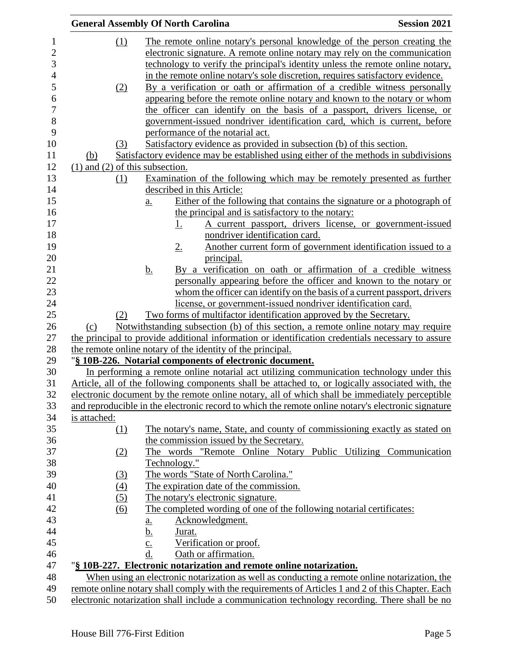|                                     | <b>General Assembly Of North Carolina</b>                                                                                                                                                          | <b>Session 2021</b> |
|-------------------------------------|----------------------------------------------------------------------------------------------------------------------------------------------------------------------------------------------------|---------------------|
| $\Omega$                            | The remote online notary's personal knowledge of the person creating the                                                                                                                           |                     |
|                                     | electronic signature. A remote online notary may rely on the communication                                                                                                                         |                     |
|                                     | technology to verify the principal's identity unless the remote online notary,                                                                                                                     |                     |
|                                     | in the remote online notary's sole discretion, requires satisfactory evidence.                                                                                                                     |                     |
| (2)                                 | By a verification or oath or affirmation of a credible witness personally                                                                                                                          |                     |
|                                     | appearing before the remote online notary and known to the notary or whom                                                                                                                          |                     |
|                                     | the officer can identify on the basis of a passport, drivers license, or                                                                                                                           |                     |
|                                     | government-issued nondriver identification card, which is current, before                                                                                                                          |                     |
|                                     | performance of the notarial act.                                                                                                                                                                   |                     |
| (3)                                 | Satisfactory evidence as provided in subsection (b) of this section.                                                                                                                               |                     |
| <u>(b)</u>                          | Satisfactory evidence may be established using either of the methods in subdivisions                                                                                                               |                     |
| $(1)$ and $(2)$ of this subsection. |                                                                                                                                                                                                    |                     |
| (1)                                 | Examination of the following which may be remotely presented as further                                                                                                                            |                     |
|                                     | described in this Article:                                                                                                                                                                         |                     |
|                                     | Either of the following that contains the signature or a photograph of<br>$\underline{a}$ .                                                                                                        |                     |
|                                     | the principal and is satisfactory to the notary:                                                                                                                                                   |                     |
|                                     | <u>1.</u><br>A current passport, drivers license, or government-issued                                                                                                                             |                     |
|                                     | nondriver identification card.                                                                                                                                                                     |                     |
|                                     | Another current form of government identification issued to a<br>2.                                                                                                                                |                     |
|                                     | principal.                                                                                                                                                                                         |                     |
|                                     | <u>b.</u><br>By a verification on oath or affirmation of a credible witness                                                                                                                        |                     |
|                                     | personally appearing before the officer and known to the notary or                                                                                                                                 |                     |
|                                     | whom the officer can identify on the basis of a current passport, drivers                                                                                                                          |                     |
|                                     | license, or government-issued nondriver identification card.                                                                                                                                       |                     |
| (2)                                 | <u>Two forms of multifactor identification approved by the Secretary.</u>                                                                                                                          |                     |
| (c)                                 | Notwithstanding subsection (b) of this section, a remote online notary may require                                                                                                                 |                     |
|                                     | the principal to provide additional information or identification credentials necessary to assure                                                                                                  |                     |
|                                     | the remote online notary of the identity of the principal.                                                                                                                                         |                     |
|                                     | "§ 10B-226. Notarial components of electronic document.                                                                                                                                            |                     |
|                                     | In performing a remote online notarial act utilizing communication technology under this                                                                                                           |                     |
|                                     | Article, all of the following components shall be attached to, or logically associated with, the<br>electronic document by the remote online notary, all of which shall be immediately perceptible |                     |
|                                     | and reproducible in the electronic record to which the remote online notary's electronic signature                                                                                                 |                     |
| is attached:                        |                                                                                                                                                                                                    |                     |
| (1)                                 | The notary's name, State, and county of commissioning exactly as stated on                                                                                                                         |                     |
|                                     | the commission issued by the Secretary.                                                                                                                                                            |                     |
| (2)                                 | The words "Remote Online Notary Public Utilizing Communication                                                                                                                                     |                     |
|                                     | Technology."                                                                                                                                                                                       |                     |
| (3)                                 | The words "State of North Carolina."                                                                                                                                                               |                     |
| (4)                                 | The expiration date of the commission.                                                                                                                                                             |                     |
| (5)                                 | The notary's electronic signature.                                                                                                                                                                 |                     |
| (6)                                 | The completed wording of one of the following notarial certificates:                                                                                                                               |                     |
|                                     | Acknowledgment.                                                                                                                                                                                    |                     |
|                                     | <u>a.</u><br><u>b.</u><br>Jurat.                                                                                                                                                                   |                     |
|                                     | Verification or proof.<br>$\overline{c}$ .                                                                                                                                                         |                     |
|                                     | d.<br>Oath or affirmation.                                                                                                                                                                         |                     |
|                                     | "§ 10B-227. Electronic notarization and remote online notarization.                                                                                                                                |                     |
|                                     | When using an electronic notarization as well as conducting a remote online notarization, the                                                                                                      |                     |
|                                     | remote online notary shall comply with the requirements of Articles 1 and 2 of this Chapter. Each                                                                                                  |                     |
|                                     | electronic notarization shall include a communication technology recording. There shall be no                                                                                                      |                     |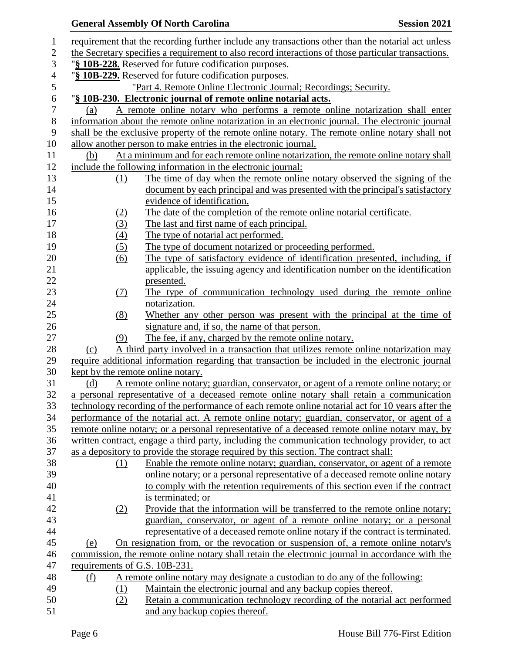|                                   | <b>General Assembly Of North Carolina</b>                                                           | <b>Session 2021</b> |
|-----------------------------------|-----------------------------------------------------------------------------------------------------|---------------------|
|                                   | requirement that the recording further include any transactions other than the notarial act unless  |                     |
|                                   | the Secretary specifies a requirement to also record interactions of those particular transactions. |                     |
|                                   | "§ 10B-228. Reserved for future codification purposes.                                              |                     |
|                                   | "§ 10B-229. Reserved for future codification purposes.                                              |                     |
|                                   | "Part 4. Remote Online Electronic Journal; Recordings; Security.                                    |                     |
|                                   | "§ 10B-230. Electronic journal of remote online notarial acts.                                      |                     |
| (a)                               | A remote online notary who performs a remote online notarization shall enter                        |                     |
|                                   | information about the remote online notarization in an electronic journal. The electronic journal   |                     |
|                                   | shall be the exclusive property of the remote online notary. The remote online notary shall not     |                     |
|                                   | allow another person to make entries in the electronic journal.                                     |                     |
| (b)                               | At a minimum and for each remote online notarization, the remote online notary shall                |                     |
|                                   | include the following information in the electronic journal:                                        |                     |
| (1)                               | The time of day when the remote online notary observed the signing of the                           |                     |
|                                   | document by each principal and was presented with the principal's satisfactory                      |                     |
|                                   | evidence of identification.                                                                         |                     |
| <u>(2)</u>                        | The date of the completion of the remote online notarial certificate.                               |                     |
| (3)                               | The last and first name of each principal.                                                          |                     |
| (4)                               | The type of notarial act performed.                                                                 |                     |
| (5)                               | The type of document notarized or proceeding performed.                                             |                     |
| (6)                               | The type of satisfactory evidence of identification presented, including, if                        |                     |
|                                   | applicable, the issuing agency and identification number on the identification                      |                     |
|                                   | presented.                                                                                          |                     |
| (7)                               | The type of communication technology used during the remote online                                  |                     |
|                                   | notarization.                                                                                       |                     |
| (8)                               | Whether any other person was present with the principal at the time of                              |                     |
|                                   | signature and, if so, the name of that person.                                                      |                     |
| (9)                               | The fee, if any, charged by the remote online notary.                                               |                     |
| (c)                               | A third party involved in a transaction that utilizes remote online notarization may                |                     |
|                                   | require additional information regarding that transaction be included in the electronic journal     |                     |
| kept by the remote online notary. |                                                                                                     |                     |
| <u>(d)</u>                        | A remote online notary; guardian, conservator, or agent of a remote online notary; or               |                     |
|                                   | a personal representative of a deceased remote online notary shall retain a communication           |                     |
|                                   | technology recording of the performance of each remote online notarial act for 10 years after the   |                     |
|                                   | performance of the notarial act. A remote online notary; guardian, conservator, or agent of a       |                     |
|                                   | remote online notary; or a personal representative of a deceased remote online notary may, by       |                     |
|                                   | written contract, engage a third party, including the communication technology provider, to act     |                     |
|                                   | as a depository to provide the storage required by this section. The contract shall:                |                     |
| (1)                               | Enable the remote online notary; guardian, conservator, or agent of a remote                        |                     |
|                                   | online notary; or a personal representative of a deceased remote online notary                      |                     |
|                                   | to comply with the retention requirements of this section even if the contract                      |                     |
|                                   | is terminated; or                                                                                   |                     |
| (2)                               | Provide that the information will be transferred to the remote online notary;                       |                     |
|                                   | guardian, conservator, or agent of a remote online notary; or a personal                            |                     |
|                                   | representative of a deceased remote online notary if the contract is terminated.                    |                     |
| (e)                               | <u>On resignation from, or the revocation or suspension of, a remote online notary's</u>            |                     |
|                                   | commission, the remote online notary shall retain the electronic journal in accordance with the     |                     |
| requirements of G.S. 10B-231.     |                                                                                                     |                     |
| <u>(f)</u>                        | A remote online notary may designate a custodian to do any of the following:                        |                     |
| <u>(1)</u>                        | Maintain the electronic journal and any backup copies thereof.                                      |                     |
| (2)                               | Retain a communication technology recording of the notarial act performed                           |                     |
|                                   | and any backup copies thereof.                                                                      |                     |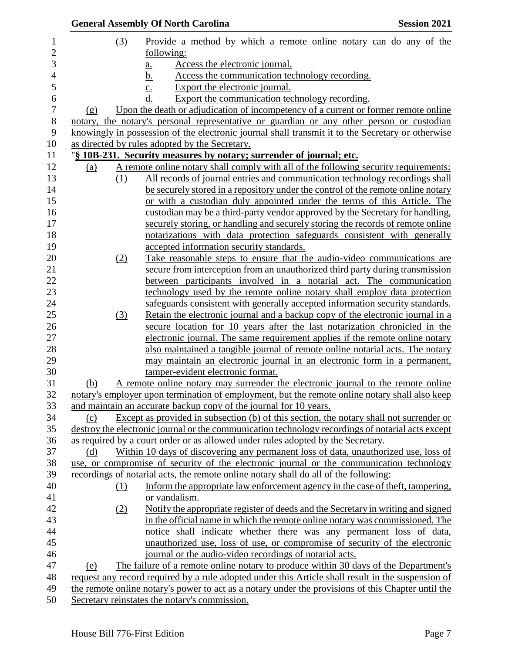|     |     | <b>General Assembly Of North Carolina</b>                                                                                                                   | <b>Session 2021</b> |
|-----|-----|-------------------------------------------------------------------------------------------------------------------------------------------------------------|---------------------|
|     | (3) | Provide a method by which a remote online notary can do any of the                                                                                          |                     |
|     |     | following:                                                                                                                                                  |                     |
|     |     | Access the electronic journal.<br><u>a.</u>                                                                                                                 |                     |
|     |     | Access the communication technology recording.<br><u>b.</u>                                                                                                 |                     |
|     |     | Export the electronic journal.                                                                                                                              |                     |
|     |     | $\overline{c}$ .<br>Export the communication technology recording.<br>d.                                                                                    |                     |
| (g) |     | Upon the death or adjudication of incompetency of a current or former remote online                                                                         |                     |
|     |     | notary, the notary's personal representative or guardian or any other person or custodian                                                                   |                     |
|     |     | knowingly in possession of the electronic journal shall transmit it to the Secretary or otherwise                                                           |                     |
|     |     | as directed by rules adopted by the Secretary.                                                                                                              |                     |
|     |     |                                                                                                                                                             |                     |
|     |     | "§ 10B-231. Security measures by notary; surrender of journal; etc.<br>A remote online notary shall comply with all of the following security requirements: |                     |
| (a) |     |                                                                                                                                                             |                     |
|     | (1) | All records of journal entries and communication technology recordings shall                                                                                |                     |
|     |     | be securely stored in a repository under the control of the remote online notary                                                                            |                     |
|     |     | or with a custodian duly appointed under the terms of this Article. The                                                                                     |                     |
|     |     | custodian may be a third-party vendor approved by the Secretary for handling,                                                                               |                     |
|     |     | securely storing, or handling and securely storing the records of remote online                                                                             |                     |
|     |     | notarizations with data protection safeguards consistent with generally                                                                                     |                     |
|     |     | accepted information security standards.                                                                                                                    |                     |
|     | (2) | Take reasonable steps to ensure that the audio-video communications are                                                                                     |                     |
|     |     | secure from interception from an unauthorized third party during transmission                                                                               |                     |
|     |     | between participants involved in a notarial act. The communication                                                                                          |                     |
|     |     | technology used by the remote online notary shall employ data protection                                                                                    |                     |
|     |     | safeguards consistent with generally accepted information security standards.                                                                               |                     |
|     | (3) | Retain the electronic journal and a backup copy of the electronic journal in a                                                                              |                     |
|     |     | secure location for 10 years after the last notarization chronicled in the                                                                                  |                     |
|     |     | electronic journal. The same requirement applies if the remote online notary                                                                                |                     |
|     |     | also maintained a tangible journal of remote online notarial acts. The notary                                                                               |                     |
|     |     | may maintain an electronic journal in an electronic form in a permanent,                                                                                    |                     |
|     |     | tamper-evident electronic format.                                                                                                                           |                     |
| (b) |     | A remote online notary may surrender the electronic journal to the remote online                                                                            |                     |
|     |     | notary's employer upon termination of employment, but the remote online notary shall also keep                                                              |                     |
|     |     | and maintain an accurate backup copy of the journal for 10 years.                                                                                           |                     |
| (c) |     | Except as provided in subsection (b) of this section, the notary shall not surrender or                                                                     |                     |
|     |     | destroy the electronic journal or the communication technology recordings of notarial acts except                                                           |                     |
|     |     | as required by a court order or as allowed under rules adopted by the Secretary.                                                                            |                     |
| (d) |     | Within 10 days of discovering any permanent loss of data, unauthorized use, loss of                                                                         |                     |
|     |     | use, or compromise of security of the electronic journal or the communication technology                                                                    |                     |
|     |     | recordings of notarial acts, the remote online notary shall do all of the following:                                                                        |                     |
|     | (1) | Inform the appropriate law enforcement agency in the case of theft, tampering,                                                                              |                     |
|     |     | or vandalism.                                                                                                                                               |                     |
|     | (2) | Notify the appropriate register of deeds and the Secretary in writing and signed                                                                            |                     |
|     |     | in the official name in which the remote online notary was commissioned. The                                                                                |                     |
|     |     | notice shall indicate whether there was any permanent loss of data,                                                                                         |                     |
|     |     | unauthorized use, loss of use, or compromise of security of the electronic                                                                                  |                     |
|     |     | journal or the audio-video recordings of notarial acts.                                                                                                     |                     |
| (e) |     | The failure of a remote online notary to produce within 30 days of the Department's                                                                         |                     |
|     |     | request any record required by a rule adopted under this Article shall result in the suspension of                                                          |                     |
|     |     | the remote online notary's power to act as a notary under the provisions of this Chapter until the                                                          |                     |
|     |     | Secretary reinstates the notary's commission.                                                                                                               |                     |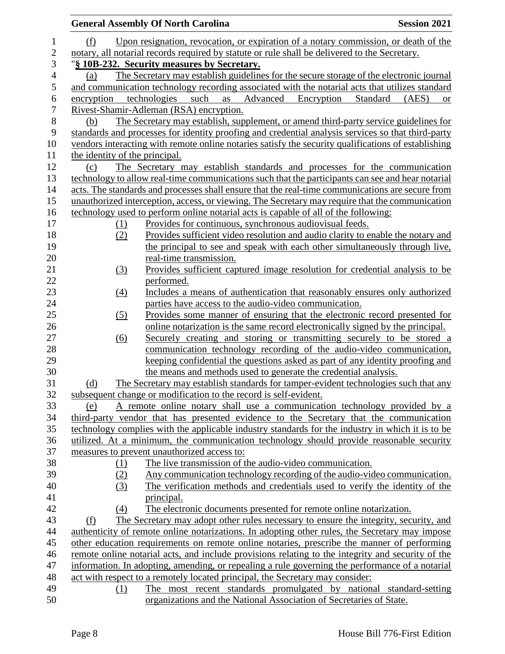|              |                                | <b>General Assembly Of North Carolina</b><br><b>Session 2021</b>                                                                                                                           |
|--------------|--------------------------------|--------------------------------------------------------------------------------------------------------------------------------------------------------------------------------------------|
| 1            | (f)                            | Upon resignation, revocation, or expiration of a notary commission, or death of the                                                                                                        |
| $\mathbf{2}$ |                                | notary, all notarial records required by statute or rule shall be delivered to the Secretary.                                                                                              |
| 3            |                                | "§ 10B-232. Security measures by Secretary.                                                                                                                                                |
| 4            | (a)                            | The Secretary may establish guidelines for the secure storage of the electronic journal                                                                                                    |
| 5            |                                | and communication technology recording associated with the notarial acts that utilizes standard                                                                                            |
| 6            | encryption                     | technologies<br>such<br>Advanced<br>Encryption<br>Standard<br>as<br>(AES)<br><b>or</b>                                                                                                     |
| 7            |                                | Rivest-Shamir-Adleman (RSA) encryption.                                                                                                                                                    |
| 8            | (b)                            | The Secretary may establish, supplement, or amend third-party service guidelines for                                                                                                       |
| 9            |                                | standards and processes for identity proofing and credential analysis services so that third-party                                                                                         |
| 10           |                                | vendors interacting with remote online notaries satisfy the security qualifications of establishing                                                                                        |
| 11           | the identity of the principal. |                                                                                                                                                                                            |
| 12           | (c)                            | The Secretary may establish standards and processes for the communication                                                                                                                  |
| 13           |                                | technology to allow real-time communications such that the participants can see and hear notarial                                                                                          |
| 14           |                                | acts. The standards and processes shall ensure that the real-time communications are secure from                                                                                           |
| 15           |                                | unauthorized interception, access, or viewing. The Secretary may require that the communication                                                                                            |
| 16           |                                | technology used to perform online notarial acts is capable of all of the following:                                                                                                        |
| 17           | (1)                            | Provides for continuous, synchronous audiovisual feeds.                                                                                                                                    |
| 18           | (2)                            | Provides sufficient video resolution and audio clarity to enable the notary and                                                                                                            |
| 19           |                                | the principal to see and speak with each other simultaneously through live,                                                                                                                |
| 20           |                                | real-time transmission.                                                                                                                                                                    |
| 21           | (3)                            | Provides sufficient captured image resolution for credential analysis to be                                                                                                                |
| 22           |                                | performed.                                                                                                                                                                                 |
| 23           | $\left(4\right)$               | Includes a means of authentication that reasonably ensures only authorized                                                                                                                 |
| 24           |                                | parties have access to the audio-video communication.                                                                                                                                      |
| 25           | (5)                            | Provides some manner of ensuring that the electronic record presented for                                                                                                                  |
| 26           |                                | online notarization is the same record electronically signed by the principal.                                                                                                             |
| 27           | (6)                            | Securely creating and storing or transmitting securely to be stored a                                                                                                                      |
| 28           |                                | communication technology recording of the audio-video communication,                                                                                                                       |
| 29           |                                | keeping confidential the questions asked as part of any identity proofing and                                                                                                              |
| 30           |                                | the means and methods used to generate the credential analysis.                                                                                                                            |
| 31           | (d)                            | The Secretary may establish standards for tamper-evident technologies such that any                                                                                                        |
| 32           |                                | subsequent change or modification to the record is self-evident.                                                                                                                           |
| 33           | (e)                            | A remote online notary shall use a communication technology provided by a                                                                                                                  |
| 34<br>35     |                                | third-party vendor that has presented evidence to the Secretary that the communication<br>technology complies with the applicable industry standards for the industry in which it is to be |
| 36           |                                | utilized. At a minimum, the communication technology should provide reasonable security                                                                                                    |
| 37           |                                | measures to prevent unauthorized access to:                                                                                                                                                |
| 38           | (1)                            | The live transmission of the audio-video communication.                                                                                                                                    |
| 39           | (2)                            | Any communication technology recording of the audio-video communication.                                                                                                                   |
| 40           | (3)                            | The verification methods and credentials used to verify the identity of the                                                                                                                |
| 41           |                                | principal.                                                                                                                                                                                 |
| 42           | (4)                            | The electronic documents presented for remote online notarization.                                                                                                                         |
| 43           | (f)                            | The Secretary may adopt other rules necessary to ensure the integrity, security, and                                                                                                       |
| 44           |                                | authenticity of remote online notarizations. In adopting other rules, the Secretary may impose                                                                                             |
| 45           |                                | other education requirements on remote online notaries, prescribe the manner of performing                                                                                                 |
| 46           |                                | remote online notarial acts, and include provisions relating to the integrity and security of the                                                                                          |
| 47           |                                | information. In adopting, amending, or repealing a rule governing the performance of a notarial                                                                                            |
| 48           |                                | act with respect to a remotely located principal, the Secretary may consider:                                                                                                              |
| 49           | (1)                            | The most recent standards promulgated by national standard-setting                                                                                                                         |
| 50           |                                | organizations and the National Association of Secretaries of State.                                                                                                                        |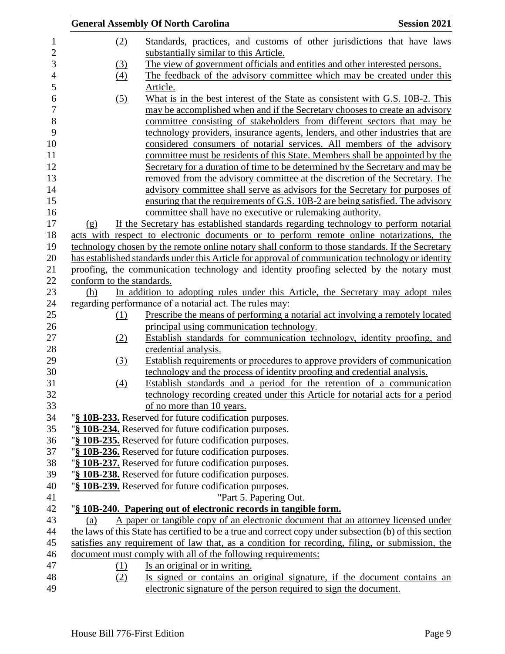|                           | <b>General Assembly Of North Carolina</b>                                                                                                                                       | <b>Session 2021</b> |
|---------------------------|---------------------------------------------------------------------------------------------------------------------------------------------------------------------------------|---------------------|
| (2)                       | Standards, practices, and customs of other jurisdictions that have laws                                                                                                         |                     |
|                           | substantially similar to this Article.                                                                                                                                          |                     |
| (3)                       | The view of government officials and entities and other interested persons.                                                                                                     |                     |
| (4)                       | The feedback of the advisory committee which may be created under this                                                                                                          |                     |
|                           | Article.                                                                                                                                                                        |                     |
| (5)                       | What is in the best interest of the State as consistent with G.S. 10B-2. This                                                                                                   |                     |
|                           | may be accomplished when and if the Secretary chooses to create an advisory                                                                                                     |                     |
|                           | committee consisting of stakeholders from different sectors that may be                                                                                                         |                     |
|                           | technology providers, insurance agents, lenders, and other industries that are                                                                                                  |                     |
|                           | considered consumers of notarial services. All members of the advisory                                                                                                          |                     |
|                           | committee must be residents of this State. Members shall be appointed by the                                                                                                    |                     |
|                           | Secretary for a duration of time to be determined by the Secretary and may be                                                                                                   |                     |
|                           | removed from the advisory committee at the discretion of the Secretary. The                                                                                                     |                     |
|                           | advisory committee shall serve as advisors for the Secretary for purposes of                                                                                                    |                     |
|                           | ensuring that the requirements of G.S. 10B-2 are being satisfied. The advisory                                                                                                  |                     |
|                           | committee shall have no executive or rulemaking authority.                                                                                                                      |                     |
|                           |                                                                                                                                                                                 |                     |
| (g)                       | If the Secretary has established standards regarding technology to perform notarial<br>acts with respect to electronic documents or to perform remote online notarizations, the |                     |
|                           | technology chosen by the remote online notary shall conform to those standards. If the Secretary                                                                                |                     |
|                           | has established standards under this Article for approval of communication technology or identity                                                                               |                     |
|                           |                                                                                                                                                                                 |                     |
| conform to the standards. | proofing, the communication technology and identity proofing selected by the notary must                                                                                        |                     |
| (h)                       | In addition to adopting rules under this Article, the Secretary may adopt rules                                                                                                 |                     |
|                           | regarding performance of a notarial act. The rules may:                                                                                                                         |                     |
| (1)                       | Prescribe the means of performing a notarial act involving a remotely located                                                                                                   |                     |
|                           | principal using communication technology.                                                                                                                                       |                     |
| (2)                       | Establish standards for communication technology, identity proofing, and                                                                                                        |                     |
|                           | credential analysis.                                                                                                                                                            |                     |
| (3)                       | Establish requirements or procedures to approve providers of communication                                                                                                      |                     |
|                           | technology and the process of identity proofing and credential analysis.                                                                                                        |                     |
| (4)                       | Establish standards and a period for the retention of a communication                                                                                                           |                     |
|                           | technology recording created under this Article for notarial acts for a period                                                                                                  |                     |
|                           | of no more than 10 years.                                                                                                                                                       |                     |
|                           | "§ 10B-233. Reserved for future codification purposes.                                                                                                                          |                     |
|                           | "§ 10B-234. Reserved for future codification purposes.                                                                                                                          |                     |
|                           | "§ 10B-235. Reserved for future codification purposes.                                                                                                                          |                     |
|                           | "§ 10B-236. Reserved for future codification purposes.                                                                                                                          |                     |
|                           | "§ 10B-237. Reserved for future codification purposes.                                                                                                                          |                     |
|                           | "§ 10B-238. Reserved for future codification purposes.                                                                                                                          |                     |
|                           | "§ 10B-239. Reserved for future codification purposes.                                                                                                                          |                     |
|                           |                                                                                                                                                                                 |                     |
|                           |                                                                                                                                                                                 |                     |
|                           | "Part 5. Papering Out.                                                                                                                                                          |                     |
|                           | "§ 10B-240. Papering out of electronic records in tangible form.                                                                                                                |                     |
| (a)                       | A paper or tangible copy of an electronic document that an attorney licensed under                                                                                              |                     |
|                           | the laws of this State has certified to be a true and correct copy under subsection (b) of this section                                                                         |                     |
|                           | satisfies any requirement of law that, as a condition for recording, filing, or submission, the                                                                                 |                     |
|                           | document must comply with all of the following requirements:                                                                                                                    |                     |
| $\Omega$<br>(2)           | Is an original or in writing.<br>Is signed or contains an original signature, if the document contains an                                                                       |                     |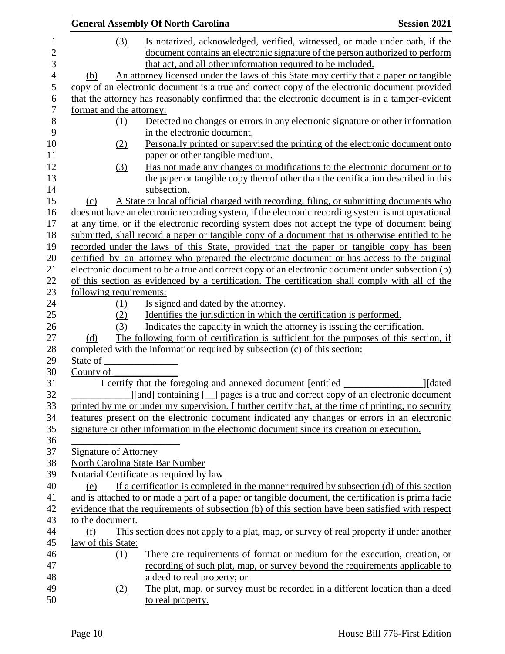|                          | <b>General Assembly Of North Carolina</b>                                                           | <b>Session 2021</b> |
|--------------------------|-----------------------------------------------------------------------------------------------------|---------------------|
| (3)                      | Is notarized, acknowledged, verified, witnessed, or made under oath, if the                         |                     |
|                          | document contains an electronic signature of the person authorized to perform                       |                     |
|                          | that act, and all other information required to be included.                                        |                     |
| (b)                      | An attorney licensed under the laws of this State may certify that a paper or tangible              |                     |
|                          | copy of an electronic document is a true and correct copy of the electronic document provided       |                     |
|                          | that the attorney has reasonably confirmed that the electronic document is in a tamper-evident      |                     |
| format and the attorney: |                                                                                                     |                     |
| (1)                      | Detected no changes or errors in any electronic signature or other information                      |                     |
|                          | in the electronic document.                                                                         |                     |
| (2)                      | Personally printed or supervised the printing of the electronic document onto                       |                     |
|                          | paper or other tangible medium.                                                                     |                     |
| (3)                      | Has not made any changes or modifications to the electronic document or to                          |                     |
|                          | the paper or tangible copy thereof other than the certification described in this                   |                     |
|                          | subsection.                                                                                         |                     |
| (c)                      | A State or local official charged with recording, filing, or submitting documents who               |                     |
|                          | does not have an electronic recording system, if the electronic recording system is not operational |                     |
|                          | at any time, or if the electronic recording system does not accept the type of document being       |                     |
|                          | submitted, shall record a paper or tangible copy of a document that is otherwise entitled to be     |                     |
|                          | recorded under the laws of this State, provided that the paper or tangible copy has been            |                     |
|                          | certified by an attorney who prepared the electronic document or has access to the original         |                     |
|                          | electronic document to be a true and correct copy of an electronic document under subsection (b)    |                     |
|                          | of this section as evidenced by a certification. The certification shall comply with all of the     |                     |
| following requirements:  |                                                                                                     |                     |
| (1)                      | Is signed and dated by the attorney.                                                                |                     |
| (2)                      | Identifies the jurisdiction in which the certification is performed.                                |                     |
| (3)                      | Indicates the capacity in which the attorney is issuing the certification.                          |                     |
| (d)                      | The following form of certification is sufficient for the purposes of this section, if              |                     |
|                          | completed with the information required by subsection (c) of this section:                          |                     |
| State of                 |                                                                                                     |                     |
| County of                |                                                                                                     |                     |
|                          | I certify that the foregoing and annexed document [entitled]                                        | <b>I</b> dated      |
|                          | [[and] containing [_] pages is a true and correct copy of an electronic document                    |                     |
|                          | printed by me or under my supervision. I further certify that, at the time of printing, no security |                     |
|                          | features present on the electronic document indicated any changes or errors in an electronic        |                     |
|                          | signature or other information in the electronic document since its creation or execution.          |                     |
|                          |                                                                                                     |                     |
| Signature of Attorney    |                                                                                                     |                     |
|                          | North Carolina State Bar Number                                                                     |                     |
|                          | Notarial Certificate as required by law                                                             |                     |
| (e)                      | If a certification is completed in the manner required by subsection (d) of this section            |                     |
|                          | and is attached to or made a part of a paper or tangible document, the certification is prima facie |                     |
|                          | evidence that the requirements of subsection (b) of this section have been satisfied with respect   |                     |
| to the document.         |                                                                                                     |                     |
| (f)                      | This section does not apply to a plat, map, or survey of real property if under another             |                     |
| law of this State:       |                                                                                                     |                     |
| (1)                      | There are requirements of format or medium for the execution, creation, or                          |                     |
|                          | recording of such plat, map, or survey beyond the requirements applicable to                        |                     |
|                          | a deed to real property; or                                                                         |                     |
| (2)                      | The plat, map, or survey must be recorded in a different location than a deed                       |                     |
|                          | to real property.                                                                                   |                     |